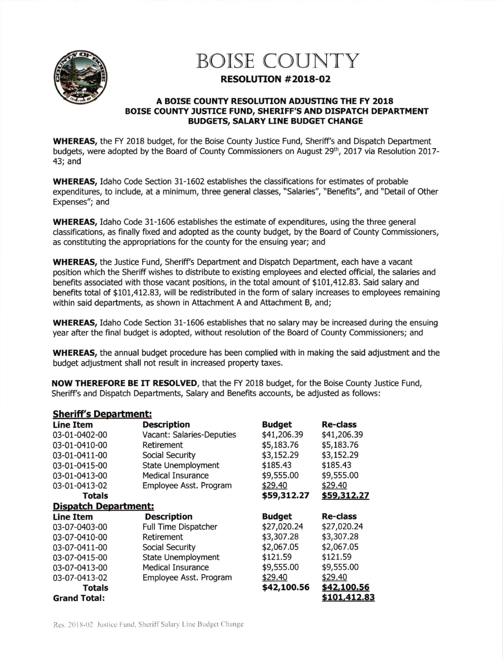

## BOISE COUNTY

## RESOLUTION #2018-02

## A BOISE COUNTY RESOLUTION ADJUSTING THE FY 2018 BOISE COUNTY JUSTICE FUND, SHERIFF'S AND DISPATCH DEPARTMENT BUDGETS, SALARY LINE BUDGET CHANGE

WHEREAS, the FY 2018 budget, for the Boise County Justice Fund, Sheriff's and Dispatch Department budgets, were adopted by the Board of County Commissioners on August 29<sup>th</sup>, 2017 via Resolution 2017-43; and

WHEREAS, Idaho Code Section 31-1502 establishes the classifications for estimates of probable expenditures, to include, at a minimum, three general classes, "Salaries", "Benefits", and "Detail of Other Expenses"; and

WHEREAS, Idaho Code 31-1606 establishes the estimate of expenditures, using the three general classifications, as finally fixed and adopted as the county budget. by the Board of County Commissioners, as constituting the appropriations for the county for the ensuing year; and

WHEREAS, the Justice Fund, Sheriff's Department and Dispatch Department, each have a vacant position which the Sheriff wishes to distribute to existing employees and elected official, the salaries and benefits associated with those vacant positions, in the total amount of \$101,412.83. Said salary and benefits total of \$101,412.83, will be redistributed in the form of salary increases to employees remaining within said departments, as shown in Attachment A and Attachment B, and;

WHEREAS, Idaho Code Section 31-1606 establishes that no salary may be increased during the ensuing year after the final budget is adopted, without resolution of the Board of County Commissioners; and

WHEREAS, the annual budget procedure has been complied with in making the said adjustment and the budget adjustment shall not result in increased property taxes.

NOW THEREFORE BE fT RESOLVED, that the FY 2018 budget, for the Boise County Justice Fund, Sheriffs and Dispatch Departments, Salary and Benefits accounts, be adjusted as follows:

| <b>Sheriff's Department:</b> |                           |               |                 |
|------------------------------|---------------------------|---------------|-----------------|
| Line Item                    | <b>Description</b>        | <b>Budget</b> | Re-class        |
| 03-01-0402-00                | Vacant: Salaries-Deputies | \$41,206.39   | \$41,206.39     |
| 03-01-0410-00                | Retirement                | \$5,183.76    | \$5,183.76      |
| 03-01-0411-00                | <b>Social Security</b>    | \$3,152.29    | \$3,152.29      |
| 03-01-0415-00                | <b>State Unemployment</b> | \$185.43      | \$185.43        |
| 03-01-0413-00                | <b>Medical Insurance</b>  | \$9,555.00    | \$9,555.00      |
| 03-01-0413-02                | Employee Asst. Program    | \$29.40       | \$29.40         |
| <b>Totals</b>                |                           | \$59,312.27   | \$59,312.27     |
| <b>Dispatch Department:</b>  |                           |               |                 |
| Line Item                    | <b>Description</b>        | <b>Budget</b> | <b>Re-class</b> |
| 03-07-0403-00                | Full Time Dispatcher      | \$27,020.24   | \$27,020.24     |
| 03-07-0410-00                | Retirement                | \$3,307.28    | \$3,307.28      |
| 03-07-0411-00                | <b>Social Security</b>    | \$2,067.05    | \$2,067.05      |
| 03-07-0415-00                | <b>State Unemployment</b> | \$121.59      | \$121.59        |
| 03-07-0413-00                | <b>Medical Insurance</b>  | \$9,555.00    | \$9,555.00      |
| 03-07-0413-02                | Employee Asst. Program    | \$29.40       | \$29.40         |
| <b>Totals</b>                |                           | \$42,100.56   | \$42,100.56     |
| <b>Grand Total:</b>          |                           |               | \$101,412.83    |